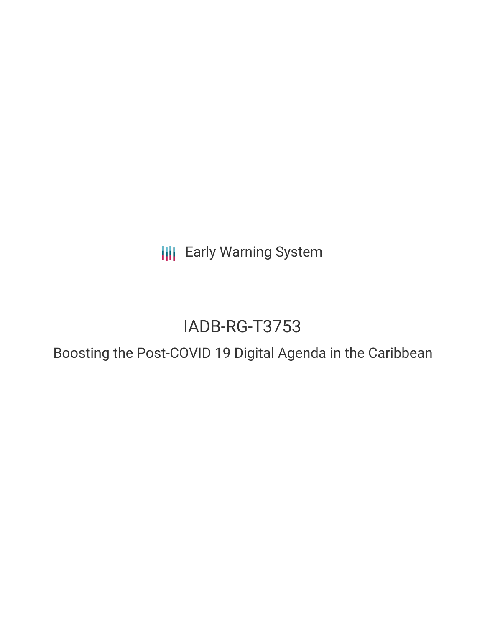**III** Early Warning System

# IADB-RG-T3753

## Boosting the Post-COVID 19 Digital Agenda in the Caribbean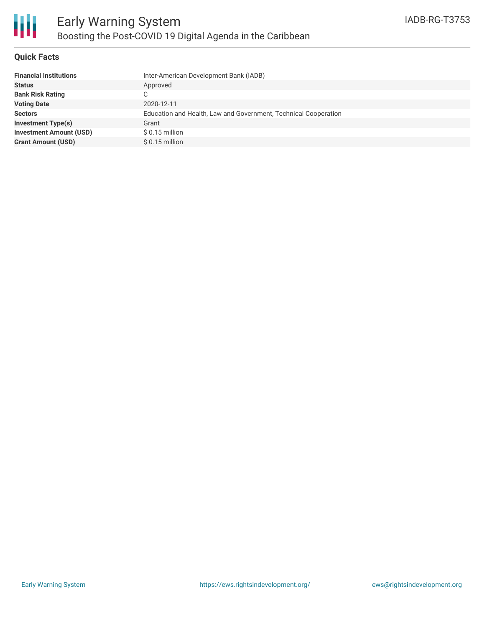

#### **Quick Facts**

| <b>Financial Institutions</b>  | Inter-American Development Bank (IADB)                          |
|--------------------------------|-----------------------------------------------------------------|
| <b>Status</b>                  | Approved                                                        |
| <b>Bank Risk Rating</b>        | C.                                                              |
| <b>Voting Date</b>             | 2020-12-11                                                      |
| <b>Sectors</b>                 | Education and Health, Law and Government, Technical Cooperation |
| <b>Investment Type(s)</b>      | Grant                                                           |
| <b>Investment Amount (USD)</b> | $$0.15$ million                                                 |
| <b>Grant Amount (USD)</b>      | $$0.15$ million                                                 |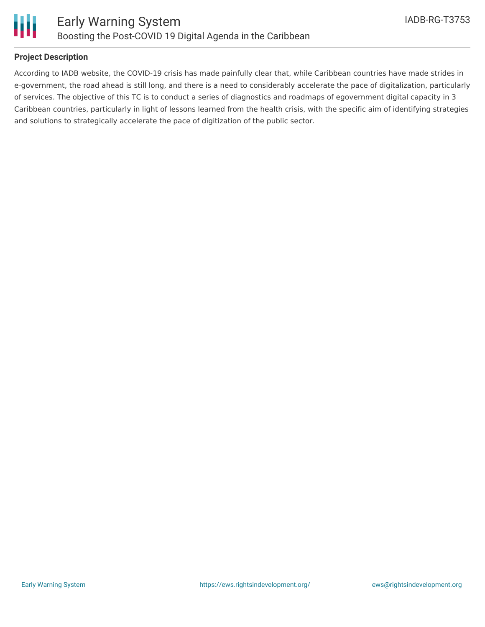

#### **Project Description**

According to IADB website, the COVID-19 crisis has made painfully clear that, while Caribbean countries have made strides in e-government, the road ahead is still long, and there is a need to considerably accelerate the pace of digitalization, particularly of services. The objective of this TC is to conduct a series of diagnostics and roadmaps of egovernment digital capacity in 3 Caribbean countries, particularly in light of lessons learned from the health crisis, with the specific aim of identifying strategies and solutions to strategically accelerate the pace of digitization of the public sector.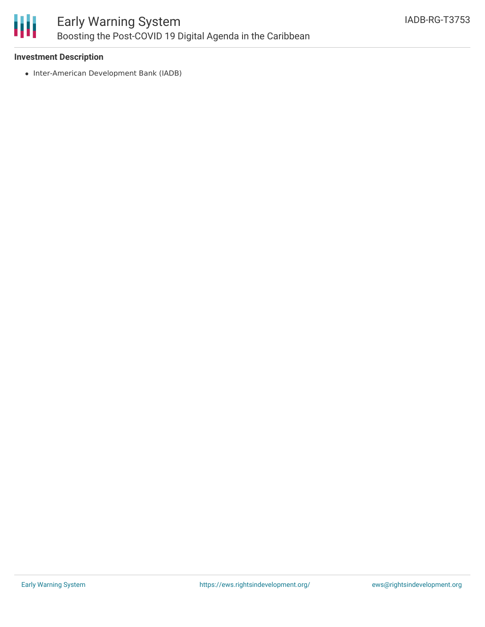

### **Investment Description**

• Inter-American Development Bank (IADB)